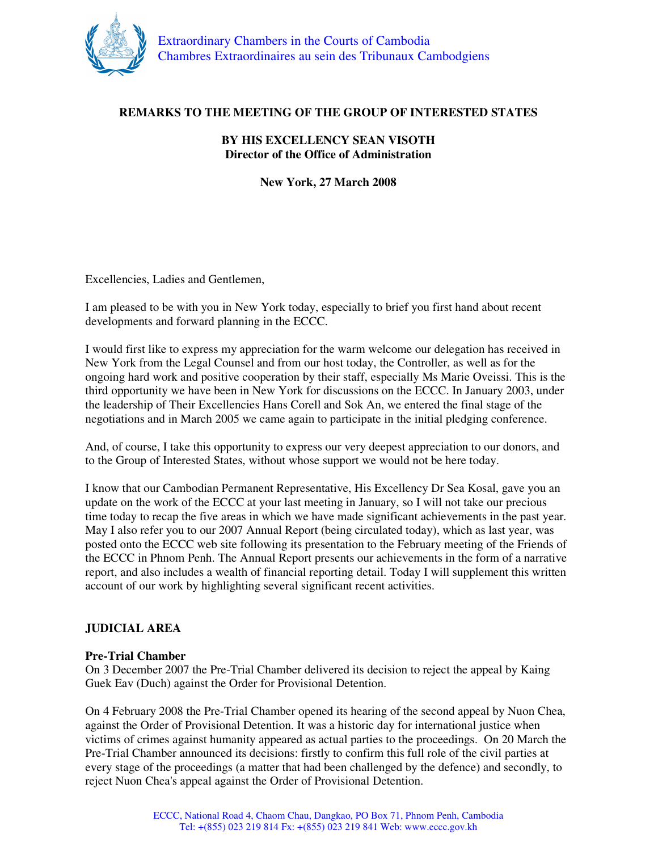

# **REMARKS TO THE MEETING OF THE GROUP OF INTERESTED STATES**

### **BY HIS EXCELLENCY SEAN VISOTH Director of the Office of Administration**

**New York, 27 March 2008** 

Excellencies, Ladies and Gentlemen,

I am pleased to be with you in New York today, especially to brief you first hand about recent developments and forward planning in the ECCC.

I would first like to express my appreciation for the warm welcome our delegation has received in New York from the Legal Counsel and from our host today, the Controller, as well as for the ongoing hard work and positive cooperation by their staff, especially Ms Marie Oveissi. This is the third opportunity we have been in New York for discussions on the ECCC. In January 2003, under the leadership of Their Excellencies Hans Corell and Sok An, we entered the final stage of the negotiations and in March 2005 we came again to participate in the initial pledging conference.

And, of course, I take this opportunity to express our very deepest appreciation to our donors, and to the Group of Interested States, without whose support we would not be here today.

I know that our Cambodian Permanent Representative, His Excellency Dr Sea Kosal, gave you an update on the work of the ECCC at your last meeting in January, so I will not take our precious time today to recap the five areas in which we have made significant achievements in the past year. May I also refer you to our 2007 Annual Report (being circulated today), which as last year, was posted onto the ECCC web site following its presentation to the February meeting of the Friends of the ECCC in Phnom Penh. The Annual Report presents our achievements in the form of a narrative report, and also includes a wealth of financial reporting detail. Today I will supplement this written account of our work by highlighting several significant recent activities.

## **JUDICIAL AREA**

### **Pre-Trial Chamber**

On 3 December 2007 the Pre-Trial Chamber delivered its decision to reject the appeal by Kaing Guek Eav (Duch) against the Order for Provisional Detention.

On 4 February 2008 the Pre-Trial Chamber opened its hearing of the second appeal by Nuon Chea, against the Order of Provisional Detention. It was a historic day for international justice when victims of crimes against humanity appeared as actual parties to the proceedings. On 20 March the Pre-Trial Chamber announced its decisions: firstly to confirm this full role of the civil parties at every stage of the proceedings (a matter that had been challenged by the defence) and secondly, to reject Nuon Chea's appeal against the Order of Provisional Detention.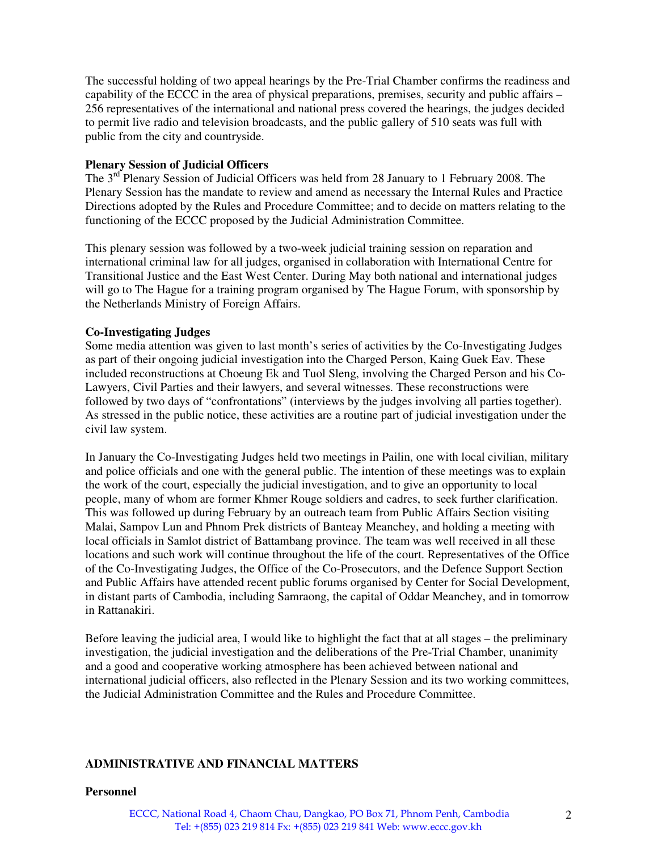The successful holding of two appeal hearings by the Pre-Trial Chamber confirms the readiness and capability of the ECCC in the area of physical preparations, premises, security and public affairs – 256 representatives of the international and national press covered the hearings, the judges decided to permit live radio and television broadcasts, and the public gallery of 510 seats was full with public from the city and countryside.

### **Plenary Session of Judicial Officers**

The 3<sup>rd</sup> Plenary Session of Judicial Officers was held from 28 January to 1 February 2008. The Plenary Session has the mandate to review and amend as necessary the Internal Rules and Practice Directions adopted by the Rules and Procedure Committee; and to decide on matters relating to the functioning of the ECCC proposed by the Judicial Administration Committee.

This plenary session was followed by a two-week judicial training session on reparation and international criminal law for all judges, organised in collaboration with International Centre for Transitional Justice and the East West Center. During May both national and international judges will go to The Hague for a training program organised by The Hague Forum, with sponsorship by the Netherlands Ministry of Foreign Affairs.

### **Co-Investigating Judges**

Some media attention was given to last month's series of activities by the Co-Investigating Judges as part of their ongoing judicial investigation into the Charged Person, Kaing Guek Eav. These included reconstructions at Choeung Ek and Tuol Sleng, involving the Charged Person and his Co-Lawyers, Civil Parties and their lawyers, and several witnesses. These reconstructions were followed by two days of "confrontations" (interviews by the judges involving all parties together). As stressed in the public notice, these activities are a routine part of judicial investigation under the civil law system.

In January the Co-Investigating Judges held two meetings in Pailin, one with local civilian, military and police officials and one with the general public. The intention of these meetings was to explain the work of the court, especially the judicial investigation, and to give an opportunity to local people, many of whom are former Khmer Rouge soldiers and cadres, to seek further clarification. This was followed up during February by an outreach team from Public Affairs Section visiting Malai, Sampov Lun and Phnom Prek districts of Banteay Meanchey, and holding a meeting with local officials in Samlot district of Battambang province. The team was well received in all these locations and such work will continue throughout the life of the court. Representatives of the Office of the Co-Investigating Judges, the Office of the Co-Prosecutors, and the Defence Support Section and Public Affairs have attended recent public forums organised by Center for Social Development, in distant parts of Cambodia, including Samraong, the capital of Oddar Meanchey, and in tomorrow in Rattanakiri.

Before leaving the judicial area, I would like to highlight the fact that at all stages – the preliminary investigation, the judicial investigation and the deliberations of the Pre-Trial Chamber, unanimity and a good and cooperative working atmosphere has been achieved between national and international judicial officers, also reflected in the Plenary Session and its two working committees, the Judicial Administration Committee and the Rules and Procedure Committee.

### **ADMINISTRATIVE AND FINANCIAL MATTERS**

#### **Personnel**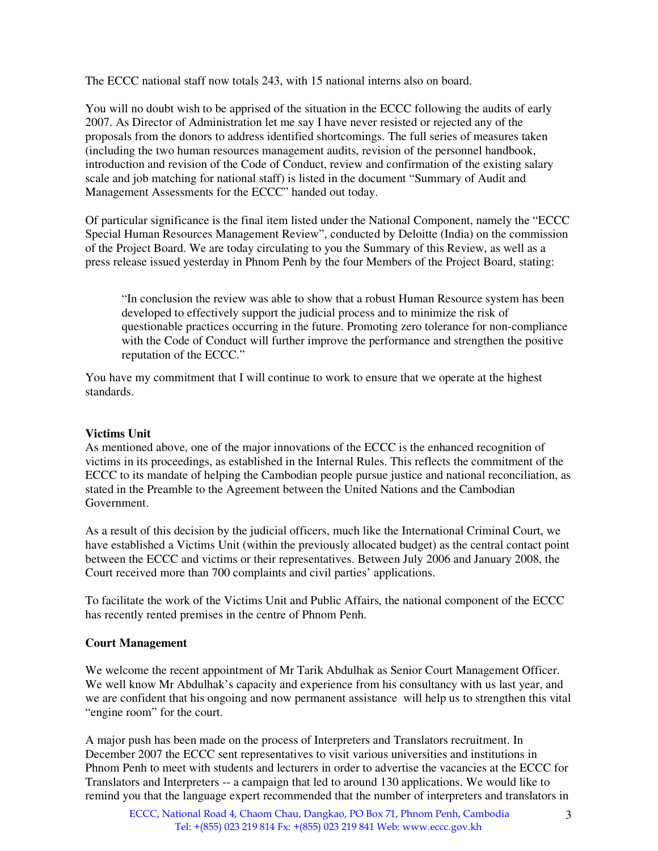The ECCC national staff now totals 243, with 15 national interns also on board.

You will no doubt wish to be apprised of the situation in the ECCC following the audits of early 2007. As Director of Administration let me say I have never resisted or rejected any of the proposals from the donors to address identified shortcomings. The full series of measures taken (including the two human resources management audits, revision of the personnel handbook, introduction and revision of the Code of Conduct, review and confirmation of the existing salary scale and job matching for national staff) is listed in the document "Summary of Audit and Management Assessments for the ECCC" handed out today.

Of particular significance is the final item listed under the National Component, namely the "ECCC Special Human Resources Management Review", conducted by Deloitte (India) on the commission of the Project Board. We are today circulating to you the Summary of this Review, as well as a press release issued yesterday in Phnom Penh by the four Members of the Project Board, stating:

"In conclusion the review was able to show that a robust Human Resource system has been developed to effectively support the judicial process and to minimize the risk of questionable practices occurring in the future. Promoting zero tolerance for non-compliance with the Code of Conduct will further improve the performance and strengthen the positive reputation of the ECCC."

You have my commitment that I will continue to work to ensure that we operate at the highest standards.

## **Victims Unit**

As mentioned above, one of the major innovations of the ECCC is the enhanced recognition of victims in its proceedings, as established in the Internal Rules. This reflects the commitment of the ECCC to its mandate of helping the Cambodian people pursue justice and national reconciliation, as stated in the Preamble to the Agreement between the United Nations and the Cambodian Government.

As a result of this decision by the judicial officers, much like the International Criminal Court, we have established a Victims Unit (within the previously allocated budget) as the central contact point between the ECCC and victims or their representatives. Between July 2006 and January 2008, the Court received more than 700 complaints and civil parties' applications.

To facilitate the work of the Victims Unit and Public Affairs, the national component of the ECCC has recently rented premises in the centre of Phnom Penh.

### **Court Management**

We welcome the recent appointment of Mr Tarik Abdulhak as Senior Court Management Officer. We well know Mr Abdulhak's capacity and experience from his consultancy with us last year, and we are confident that his ongoing and now permanent assistance will help us to strengthen this vital "engine room" for the court.

A major push has been made on the process of Interpreters and Translators recruitment. In December 2007 the ECCC sent representatives to visit various universities and institutions in Phnom Penh to meet with students and lecturers in order to advertise the vacancies at the ECCC for Translators and Interpreters -- a campaign that led to around 130 applications. We would like to remind you that the language expert recommended that the number of interpreters and translators in